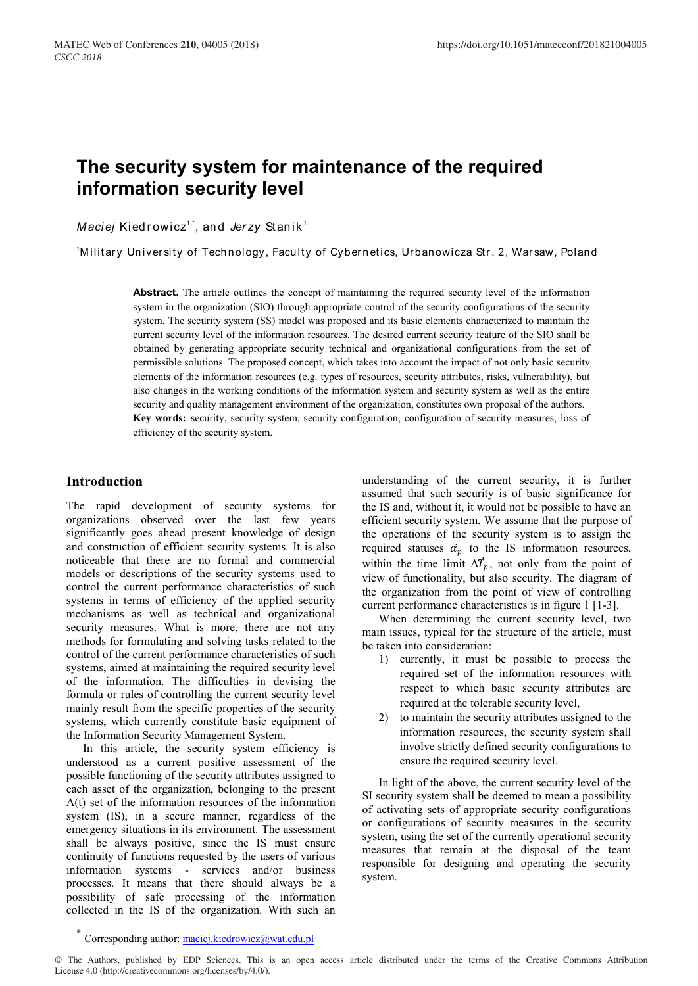# **The security system for maintenance of the required information security level**

*Maciej* Kiedrowicz<sup>1,\*</sup>, and *Jerzy* Stanik<sup>1</sup>

 $^{\rm !}$ Military University of Technology, Faculty of Cybernetics, Urbanowicza Str. 2, Warsaw, Poland

Abstract. The article outlines the concept of maintaining the required security level of the information system in the organization (SIO) through appropriate control of the security configurations of the security system. The security system (SS) model was proposed and its basic elements characterized to maintain the current security level of the information resources. The desired current security feature of the SIO shall be obtained by generating appropriate security technical and organizational configurations from the set of permissible solutions. The proposed concept, which takes into account the impact of not only basic security elements of the information resources (e.g. types of resources, security attributes, risks, vulnerability), but also changes in the working conditions of the information system and security system as well as the entire security and quality management environment of the organization, constitutes own proposal of the authors. **Key words:** security, security system, security configuration, configuration of security measures, loss of efficiency of the security system.

# **Introduction**

The rapid development of security systems for organizations observed over the last few years significantly goes ahead present knowledge of design and construction of efficient security systems. It is also noticeable that there are no formal and commercial models or descriptions of the security systems used to control the current performance characteristics of such systems in terms of efficiency of the applied security mechanisms as well as technical and organizational security measures. What is more, there are not any methods for formulating and solving tasks related to the control of the current performance characteristics of such systems, aimed at maintaining the required security level of the information. The difficulties in devising the formula or rules of controlling the current security level mainly result from the specific properties of the security systems, which currently constitute basic equipment of the Information Security Management System.

In this article, the security system efficiency is understood as a current positive assessment of the possible functioning of the security attributes assigned to each asset of the organization, belonging to the present A(t) set of the information resources of the information system (IS), in a secure manner, regardless of the emergency situations in its environment. The assessment shall be always positive, since the IS must ensure continuity of functions requested by the users of various information systems - services and/or business processes. It means that there should always be a possibility of safe processing of the information collected in the IS of the organization. With such an

understanding of the current security, it is further assumed that such security is of basic significance for the IS and, without it, it would not be possible to have an efficient security system. We assume that the purpose of the operations of the security system is to assign the required statuses  $\dot{a}_p$  to the IS information resources, within the time limit  $\Delta T_p$ , not only from the point of view of functionality, but also security. The diagram of the organization from the point of view of controlling current performance characteristics is in figure 1 [1-3].

When determining the current security level, two main issues, typical for the structure of the article, must be taken into consideration:

- 1) currently, it must be possible to process the required set of the information resources with respect to which basic security attributes are required at the tolerable security level,
- 2) to maintain the security attributes assigned to the information resources, the security system shall involve strictly defined security configurations to ensure the required security level.

In light of the above, the current security level of the SI security system shall be deemed to mean a possibility of activating sets of appropriate security configurations or configurations of security measures in the security system, using the set of the currently operational security measures that remain at the disposal of the team responsible for designing and operating the security system.

<sup>\*</sup> Corresponding author: maciej.kiedrowicz@wat.edu.pl

<sup>©</sup> The Authors, published by EDP Sciences. This is an open access article distributed under the terms of the Creative Commons Attribution License 4.0 (http://creativecommons.org/licenses/by/4.0/).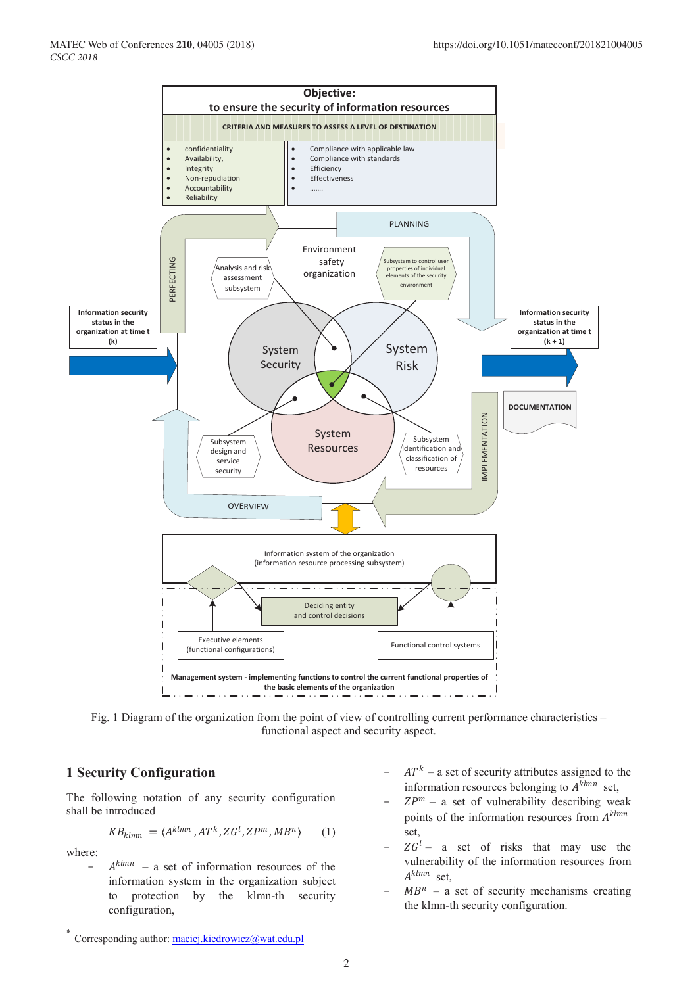

Fig. 1 Diagram of the organization from the point of view of controlling current performance characteristics – functional aspect and security aspect.

# **1 Security Configuration**

The following notation of any security configuration shall be introduced

$$
KB_{klmn} = \langle A^{klmn}, A T^k, Z G^l, Z P^m, M B^n \rangle \qquad (1)
$$

where:

- $A^{klmn}$  a set of information resources of the information system in the organization subject to protection by the klmn-th security configuration,
- $AT^k$  a set of security attributes assigned to the information resources belonging to  $A^{klmn}$  set,
- $ZP^m$  a set of vulnerability describing weak points of the information resources from  $A^{klmn}$ set,
- $ZG<sup>l</sup>$  a set of risks that may use the vulnerability of the information resources from  $A^{klmn}$  set,
- $MB<sup>n</sup>$  a set of security mechanisms creating the klmn-th security configuration.

Corresponding author: maciej.kiedrowicz@wat.edu.pl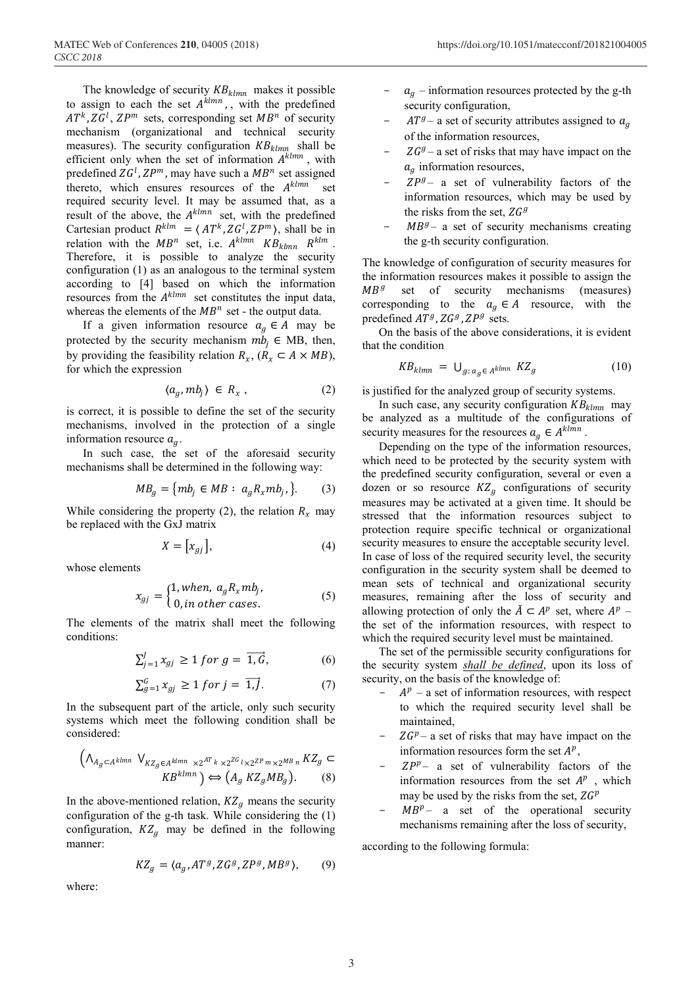The knowledge of security  $KB_{klmn}$  makes it possible to assign to each the set  $A^{klmn}$ , with the predefined  $AT^{k}$ ,  $ZG^{l}$ ,  $ZP^{m}$  sets, corresponding set  $MB^{n}$  of security mechanism (organizational and technical security measures). The security configuration  $KB_{klmn}$  shall be efficient only when the set of information  $A^{klmn}$ , with predefined  $ZG^l$ ,  $ZP^m$ , may have such a  $MB^n$  set assigned thereto, which ensures resources of the  $A^{klmn}$  set required security level. It may be assumed that, as a result of the above, the  $A^{klmn}$  set, with the predefined Cartesian product  $R^{klm} = \langle AT^k, ZG^l, ZP^m \rangle$ , shall be in relation with the  $MB^n$  set, i.e.  $A^{klmn}$   $KB_{klmn}$   $R^{klm}$ . Therefore, it is possible to analyze the security configuration (1) as an analogous to the terminal system according to [4] based on which the information resources from the  $A^{klmn}$  set constitutes the input data, whereas the elements of the  $MB<sup>n</sup>$  set - the output data.

If a given information resource  $a_g \in A$  may be protected by the security mechanism  $mb_i \in MB$ , then, by providing the feasibility relation  $R_x$ ,  $(R_x \subset A \times MB)$ , for which the expression

$$
\langle a_g, mb_j \rangle \in R_x , \qquad (2)
$$

is correct, it is possible to define the set of the security mechanisms, involved in the protection of a single information resource  $a_a$ .

In such case, the set of the aforesaid security mechanisms shall be determined in the following way:

$$
MB_g = \{ mb_j \in MB : a_g R_x m b_j \}.
$$
 (3)

While considering the property (2), the relation  $R_x$  may be replaced with the GxJ matrix

$$
X = [x_{gj}], \tag{4}
$$

whose elements

$$
x_{gj} = \begin{cases} 1, when, a_g R_x m b_j, \\ 0, in other cases. \end{cases}
$$
 (5)

The elements of the matrix shall meet the following conditions:

$$
\sum_{j=1}^{J} x_{gj} \ge 1 \text{ for } g = \overline{1, G}, \tag{6}
$$

$$
\sum_{g=1}^{G} x_{gj} \ge 1 \text{ for } j = \overrightarrow{1,j}.\tag{7}
$$

In the subsequent part of the article, only such security systems which meet the following condition shall be considered:

$$
\left(\Lambda_{A_g \subset A^{klmn}} \vee_{KZ_g \in A^{klmn} \times 2^{AT} k \times 2^{ZG} l \times 2^{ZP} m \times 2^{MB} n} KZ_g \subset\nonumber\nK B^{klmn} \right) \Leftrightarrow \left(A_g KZ_g M B_g\right). \tag{8}
$$

In the above-mentioned relation,  $KZ_a$  means the security configuration of the g-th task. While considering the (1) configuration,  $KZ_a$  may be defined in the following manner:

$$
KZ_g = \langle a_g, AT^g, ZG^g, ZP^g, MB^g \rangle, \tag{9}
$$

where:

- $-a_a$  information resources protected by the g-th security configuration,
- $AT<sup>g</sup>$  a set of security attributes assigned to  $a<sub>g</sub>$ of the information resources,
- $ZG<sup>g</sup>$  a set of risks that may have impact on the  $a_q$  information resources,
- $ZP<sup>g</sup>$  a set of vulnerability factors of the information resources, which may be used by the risks from the set,  $ZG^g$
- $MB<sup>g</sup>$  a set of security mechanisms creating the g-th security configuration.

The knowledge of configuration of security measures for the information resources makes it possible to assign the  $MB<sup>g</sup>$  set of security mechanisms (measures) corresponding to the  $a_a \in A$  resource, with the predefined  $AT^g$ ,  $ZG^g$ ,  $ZP^g$  sets.

On the basis of the above considerations, it is evident that the condition

$$
KB_{klmn} = U_{g: a_g \in A^{klmn}} KZ_g \tag{10}
$$

is justified for the analyzed group of security systems.

In such case, any security configuration  $KB_{klmn}$  may be analyzed as a multitude of the configurations of security measures for the resources  $a_a \in A^{klmn}$ .

Depending on the type of the information resources, which need to be protected by the security system with the predefined security configuration, several or even a dozen or so resource  $KZ_a$  configurations of security measures may be activated at a given time. It should be stressed that the information resources subject to protection require specific technical or organizational security measures to ensure the acceptable security level. In case of loss of the required security level, the security configuration in the security system shall be deemed to mean sets of technical and organizational security measures, remaining after the loss of security and allowing protection of only the  $\check{A} \subset A^p$  set, where  $A^p$  – the set of the information resources, with respect to which the required security level must be maintained.

The set of the permissible security configurations for the security system *shall be defined*, upon its loss of security, on the basis of the knowledge of:

- $A<sup>p</sup>$  a set of information resources, with respect to which the required security level shall be maintained,
- $ZG<sup>p</sup>$  a set of risks that may have impact on the information resources form the set  $A^p$ ,
- $ZP^{p}$  a set of vulnerability factors of the information resources from the set  $A^p$ , which may be used by the risks from the set,  $ZG^p$
- $MB^p$  a set of the operational security mechanisms remaining after the loss of security,

according to the following formula: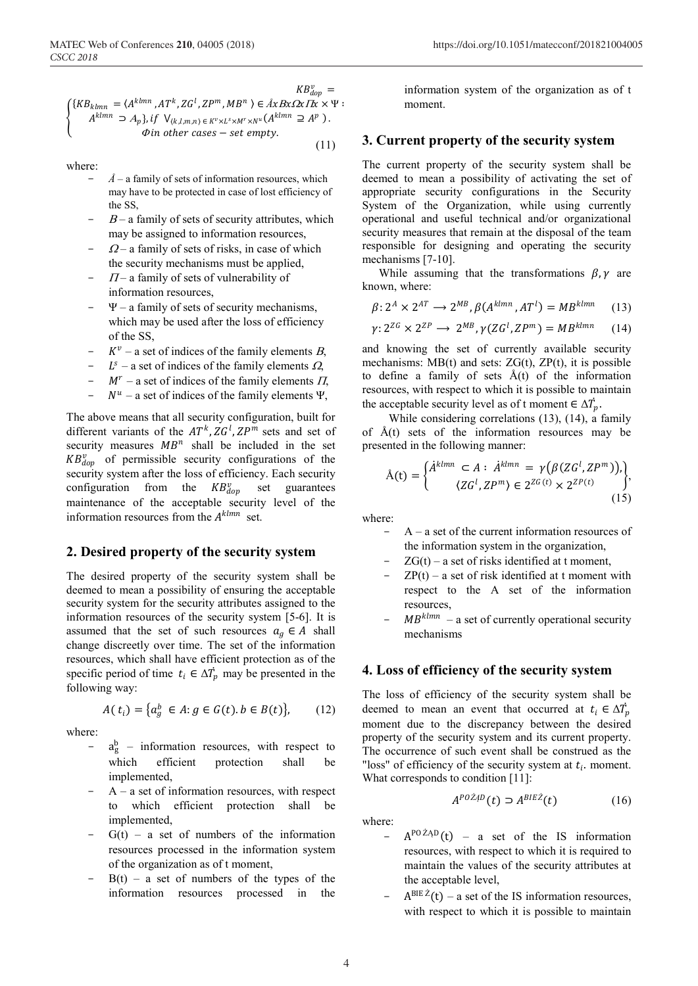$$
KB_{klmn} = \langle A^{klmn}, A T^k, Z G^l, Z P^m, M B^n \rangle \in \hat{A} x B x \Omega x I I x \times \Psi :
$$
  

$$
A^{klmn} \supset A_p \}, if \ V_{(k,l,m,n) \in K^v \times L^s \times M^r \times N^u} (A^{klmn} \supseteq A^p ).
$$
  

$$
\Phi in other cases - set empty.
$$
  
(11)

where:

- $A a$  family of sets of information resources, which may have to be protected in case of lost efficiency of the SS,
- $B$  a family of sets of security attributes, which may be assigned to information resources,
- $\Omega$  a family of sets of risks, in case of which the security mechanisms must be applied,
- $-II$  a family of sets of vulnerability of information resources,
- $\Psi$  a family of sets of security mechanisms, which may be used after the loss of efficiency of the SS,
- $K^{\nu}$  a set of indices of the family elements B,
- $L^s$  a set of indices of the family elements  $\Omega$ ,
- $M^r$  a set of indices of the family elements  $\Pi$ ,
- $N^u$  a set of indices of the family elements Ψ,

The above means that all security configuration, built for different variants of the  $AT^k$ ,  $ZG^l$ ,  $ZP^m$  sets and set of security measures  $MB<sup>n</sup>$  shall be included in the set  $KB_{dop}^v$  of permissible security configurations of the security system after the loss of efficiency. Each security configuration from the  $KB_{don}^v$ set guarantees maintenance of the acceptable security level of the information resources from the  $A^{klmn}$  set.

#### **2. Desired property of the security system**

The desired property of the security system shall be deemed to mean a possibility of ensuring the acceptable security system for the security attributes assigned to the information resources of the security system [5-6]. It is assumed that the set of such resources  $a_g \in A$  shall change discreetly over time. The set of the information resources, which shall have efficient protection as of the specific period of time  $t_i \in \Delta T_n$  may be presented in the following way:

$$
A(t_i) = \{a_g^b \in A : g \in G(t), b \in B(t)\},\qquad(12)
$$

where:

- $a_g^b$  information resources, with respect to which efficient protection shall be implemented,
- $A a$  set of information resources, with respect to which efficient protection shall be efficient protection shall be implemented,
- $G(t)$  a set of numbers of the information resources processed in the information system of the organization as of t moment,
- $B(t)$  a set of numbers of the types of the information resources processed in the

information system of the organization as of t moment.

#### **3. Current property of the security system**

The current property of the security system shall be deemed to mean a possibility of activating the set of appropriate security configurations in the Security System of the Organization, while using currently operational and useful technical and/or organizational security measures that remain at the disposal of the team responsible for designing and operating the security mechanisms [7-10].

While assuming that the transformations  $\beta$ ,  $\gamma$  are known, where:

$$
\beta \colon 2^A \times 2^{AT} \longrightarrow 2^{MB}, \beta(A^{klmn}, AT^l) = MB^{klmn} \tag{13}
$$

$$
\gamma: 2^{ZG} \times 2^{ZP} \longrightarrow 2^{MB}, \gamma(ZG^l, ZP^m) = MB^{klmn} \qquad (14)
$$

and knowing the set of currently available security mechanisms:  $MB(t)$  and sets:  $ZG(t)$ ,  $ZP(t)$ , it is possible to define a family of sets  $\hat{A}(t)$  of the information resources, with respect to which it is possible to maintain the acceptable security level as of t moment  $\in \Delta T_n$ .

While considering correlations (13), (14), a family of Å(t) sets of the information resources may be presented in the following manner:

$$
\hat{\mathbf{A}}(\mathbf{t}) = \begin{cases} \n\hat{A}^{klmn} \subset A : \n\hat{A}^{klmn} = \gamma \big( \beta \big( Z G^l, Z P^m \big) \big), \\
\langle Z G^l, Z P^m \rangle \in 2^{Z G(t)} \times 2^{Z P(t)} \n\end{cases} \tag{15}
$$

where:

- $A a$  set of the current information resources of the information system in the organization,
- $ZG(t)$  a set of risks identified at t moment,
- $ZP(t)$  a set of risk identified at t moment with respect to the A set of the information resources,
- $MB^{klmn}$  a set of currently operational security mechanisms

#### **4. Loss of efficiency of the security system**

The loss of efficiency of the security system shall be deemed to mean an event that occurred at  $t_i \in \Delta T_n$ moment due to the discrepancy between the desired property of the security system and its current property. The occurrence of such event shall be construed as the "loss" of efficiency of the security system at  $t_i$ . moment. What corresponds to condition [11]:

$$
A^{POZAD}(t) \supset A^{BIEZ}(t) \tag{16}
$$

where:

- $A<sup>POZAD</sup>(t)$  a set of the IS information resources, with respect to which it is required to maintain the values of the security attributes at the acceptable level,
- $A<sup>BIE Z</sup>(t) a set of the IS information resources,$ with respect to which it is possible to maintain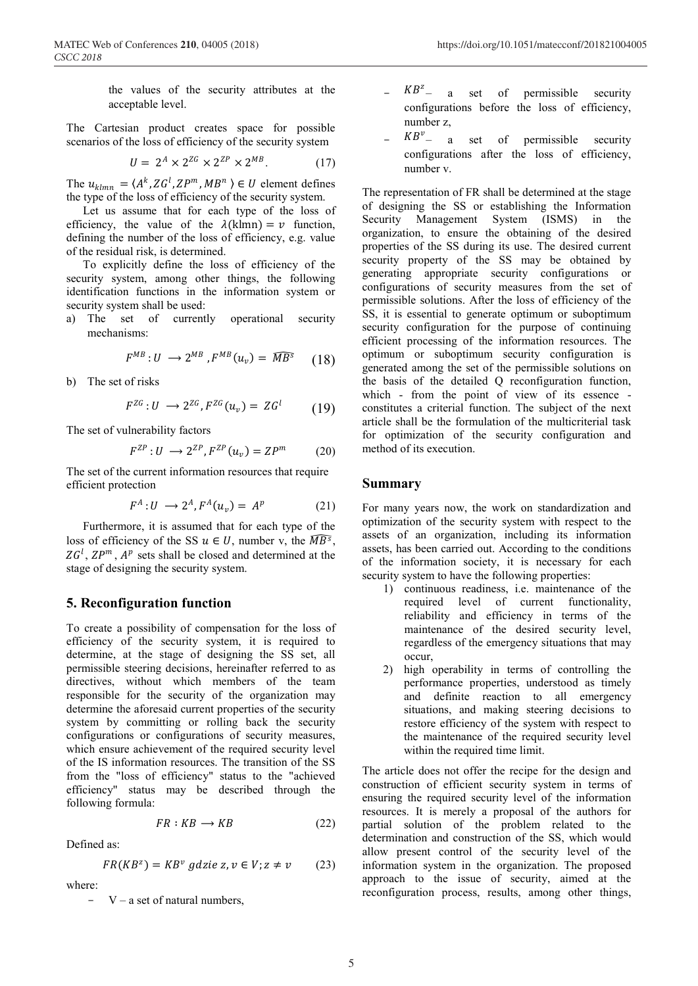the values of the security attributes at the acceptable level.

The Cartesian product creates space for possible scenarios of the loss of efficiency of the security system

$$
U = 2^A \times 2^{ZG} \times 2^{ZP} \times 2^{MB}.
$$
 (17)

The  $u_{klmn} = \langle A^k, ZG^l, ZP^m, MB^n \rangle \in U$  element defines the type of the loss of efficiency of the security system.

Let us assume that for each type of the loss of efficiency, the value of the  $\lambda$ (klmn) =  $\nu$  function, defining the number of the loss of efficiency, e.g. value of the residual risk, is determined.

To explicitly define the loss of efficiency of the security system, among other things, the following identification functions in the information system or security system shall be used:

a) The set of currently operational security mechanisms:

$$
F^{MB}: U \longrightarrow 2^{MB}, F^{MB}(u_v) = \widehat{MB}^s \qquad (18)
$$

b) The set of risks

$$
F^{ZG}: U \longrightarrow 2^{ZG}, F^{ZG}(u_v) = ZG^l \tag{19}
$$

The set of vulnerability factors

$$
F^{ZP}: U \longrightarrow 2^{ZP}, F^{ZP}(u_v) = ZP^m \tag{20}
$$

The set of the current information resources that require efficient protection

$$
F^A: U \longrightarrow 2^A, F^A(u_v) = A^p \tag{21}
$$

Furthermore, it is assumed that for each type of the loss of efficiency of the SS  $u \in U$ , number v, the  $\overline{MB^s}$ ,  $ZG^l$ ,  $ZP^m$ ,  $A^p$  sets shall be closed and determined at the stage of designing the security system.

# **5. Reconfiguration function**

To create a possibility of compensation for the loss of efficiency of the security system, it is required to determine, at the stage of designing the SS set, all permissible steering decisions, hereinafter referred to as directives, without which members of the team responsible for the security of the organization may determine the aforesaid current properties of the security system by committing or rolling back the security configurations or configurations of security measures, which ensure achievement of the required security level of the IS information resources. The transition of the SS from the "loss of efficiency" status to the "achieved efficiency" status may be described through the following formula:

$$
FR: KB \longrightarrow KB \tag{22}
$$

Defined as:

$$
FR(KBz) = KBv gdzie z, v \in V; z \neq v \qquad (23)
$$

where:

 $V - a$  set of natural numbers,

- MATEC Web of Conferences **210**, 04005 (2018) https://doi.org/10.1051/matecconf/201821004005
	- $KB^z$ <sub>-</sub> a set of permissible security configurations before the loss of efficiency, number z,
	- $KB^v$ – a set of permissible security configurations after the loss of efficiency, number v.

The representation of FR shall be determined at the stage of designing the SS or establishing the Information Security Management System (ISMS) in the organization, to ensure the obtaining of the desired properties of the SS during its use. The desired current security property of the SS may be obtained by generating appropriate security configurations or configurations of security measures from the set of permissible solutions. After the loss of efficiency of the SS, it is essential to generate optimum or suboptimum security configuration for the purpose of continuing efficient processing of the information resources. The optimum or suboptimum security configuration is generated among the set of the permissible solutions on the basis of the detailed Q reconfiguration function, which - from the point of view of its essence constitutes a criterial function. The subject of the next article shall be the formulation of the multicriterial task for optimization of the security configuration and method of its execution.

### **Summary**

For many years now, the work on standardization and optimization of the security system with respect to the assets of an organization, including its information assets, has been carried out. According to the conditions of the information society, it is necessary for each security system to have the following properties:

- 1) continuous readiness, i.e. maintenance of the required level of current functionality, reliability and efficiency in terms of the maintenance of the desired security level, regardless of the emergency situations that may occur,
- 2) high operability in terms of controlling the performance properties, understood as timely and definite reaction to all emergency situations, and making steering decisions to restore efficiency of the system with respect to the maintenance of the required security level within the required time limit.

The article does not offer the recipe for the design and construction of efficient security system in terms of ensuring the required security level of the information resources. It is merely a proposal of the authors for partial solution of the problem related to the determination and construction of the SS, which would allow present control of the security level of the information system in the organization. The proposed approach to the issue of security, aimed at the reconfiguration process, results, among other things,